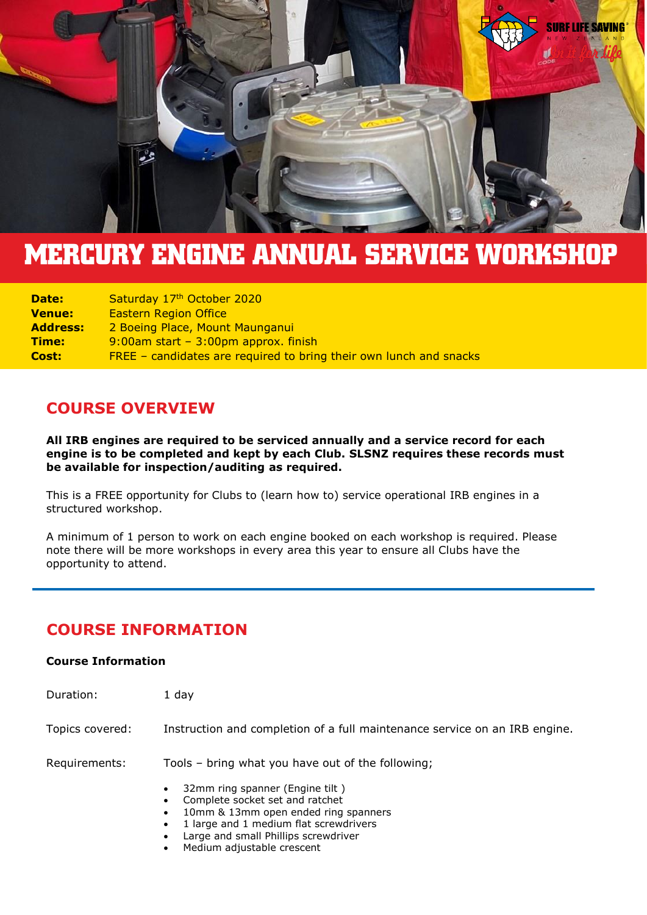

# **MERCURY ENGINE ANNUAL SERVICE WORKSHOP**

| <b>Date:</b>  | Saturday 17th October 2020                                         |
|---------------|--------------------------------------------------------------------|
| <b>Venue:</b> | <b>Eastern Region Office</b>                                       |
| Address:      | 2 Boeing Place, Mount Maunganui                                    |
| Time:         | $9:00$ am start - $3:00$ pm approx. finish                         |
| <b>Cost:</b>  | FREE – candidates are required to bring their own lunch and snacks |

### **COURSE OVERVIEW**

**All IRB engines are required to be serviced annually and a service record for each engine is to be completed and kept by each Club. SLSNZ requires these records must be available for inspection/auditing as required.**

This is a FREE opportunity for Clubs to (learn how to) service operational IRB engines in a structured workshop.

A minimum of 1 person to work on each engine booked on each workshop is required. Please note there will be more workshops in every area this year to ensure all Clubs have the opportunity to attend.

# **COURSE INFORMATION**

#### **Course Information**

| Duration:       | 1 day                                                                                                                                                                                                                  |
|-----------------|------------------------------------------------------------------------------------------------------------------------------------------------------------------------------------------------------------------------|
| Topics covered: | Instruction and completion of a full maintenance service on an IRB engine.                                                                                                                                             |
| Requirements:   | Tools - bring what you have out of the following;                                                                                                                                                                      |
|                 | 32mm ring spanner (Engine tilt)<br>$\bullet$<br>Complete socket set and ratchet<br>10mm & 13mm open ended ring spanners<br>1 large and 1 medium flat screwdrivers<br>$\bullet$<br>Large and small Phillips screwdriver |

Medium adjustable crescent